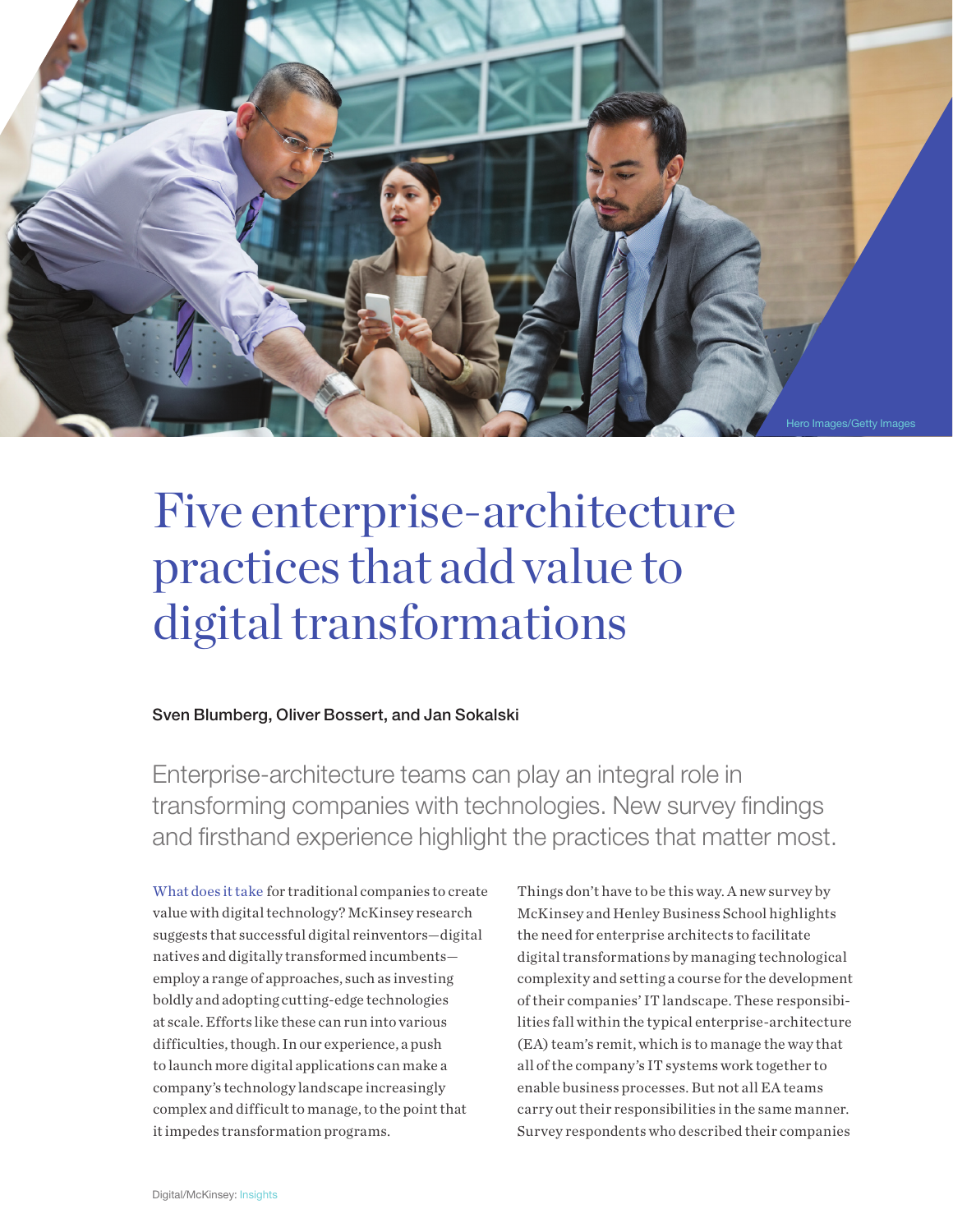

# Five enterprise-architecture practices that add value to digital transformations

#### Sven Blumberg, Oliver Bossert, and Jan Sokalski

Enterprise-architecture teams can play an integral role in transforming companies with technologies. New survey findings and firsthand experience highlight the practices that matter most.

What does it take for traditional companies to create value with digital technology? McKinsey research suggests that successful digital reinventors—digital natives and digitally transformed incumbents employ a range of approaches, such as investing boldly and adopting cutting-edge technologies at scale. Efforts like these can run into various difficulties, though. In our experience, a push to launch more digital applications can make a company's technology landscape increasingly complex and difficult to manage, to the point that it impedes transformation programs.

Things don't have to be this way. A new survey by McKinsey and Henley Business School highlights the need for enterprise architects to facilitate digital transformations by managing technological complexity and setting a course for the development of their companies' IT landscape. These responsibilities fall within the typical enterprise-architecture (EA) team's remit, which is to manage the way that all of the company's IT systems work together to enable business processes. But not all EA teams carry out their responsibilities in the same manner. Survey respondents who described their companies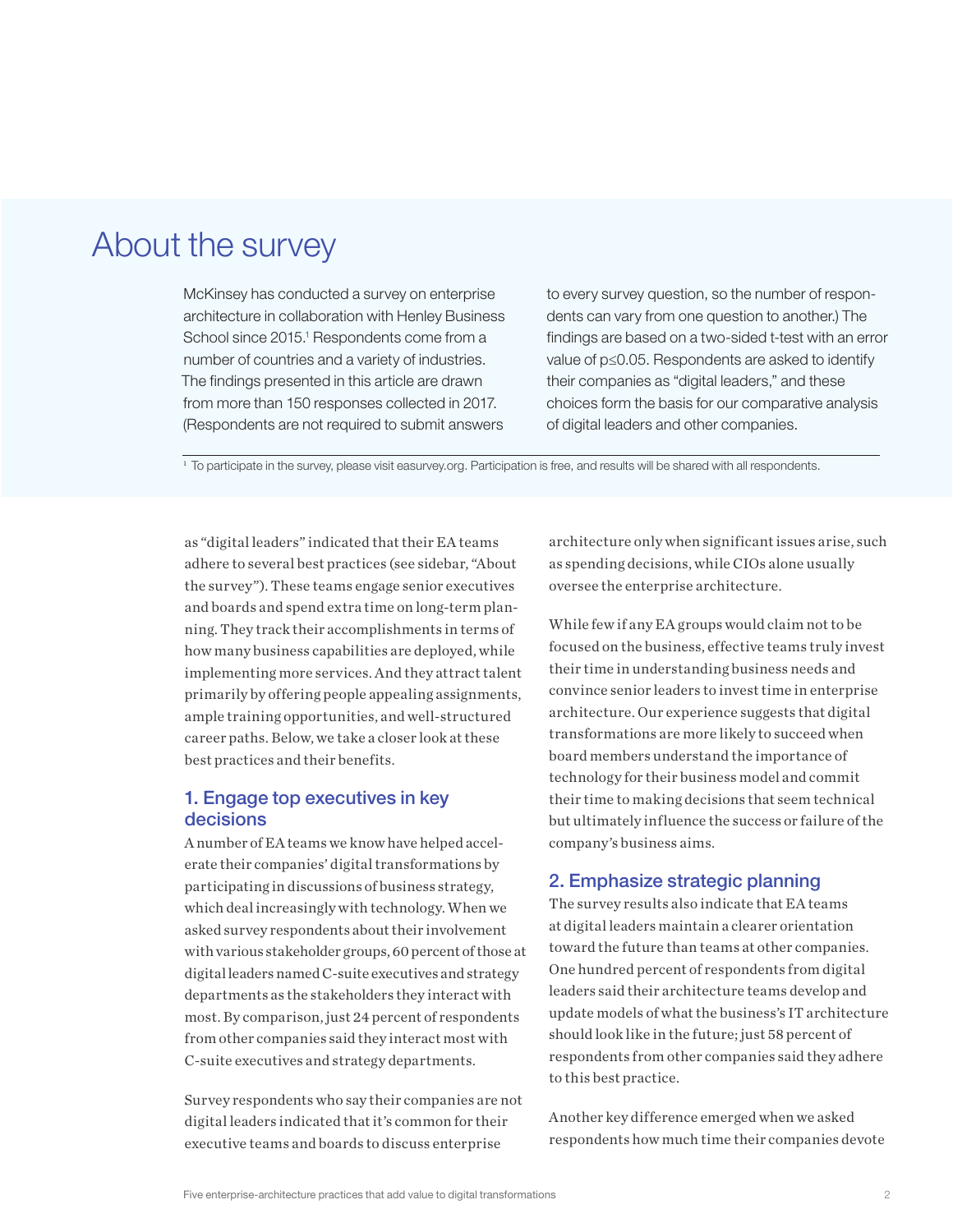# About the survey

McKinsey has conducted a survey on enterprise architecture in collaboration with Henley Business School since 2015.<sup>1</sup> Respondents come from a number of countries and a variety of industries. The findings presented in this article are drawn from more than 150 responses collected in 2017. (Respondents are not required to submit answers

to every survey question, so the number of respondents can vary from one question to another.) The findings are based on a two-sided t-test with an error value of p≤0.05. Respondents are asked to identify their companies as "digital leaders," and these choices form the basis for our comparative analysis of digital leaders and other companies.

<sup>1</sup> To participate in the survey, please visit easurvey.org. Participation is free, and results will be shared with all respondents.

as "digital leaders" indicated that their EA teams adhere to several best practices (see sidebar, "About the survey"). These teams engage senior executives and boards and spend extra time on long-term planning. They track their accomplishments in terms of how many business capabilities are deployed, while implementing more services. And they attract talent primarily by offering people appealing assignments, ample training opportunities, and well-structured career paths. Below, we take a closer look at these best practices and their benefits.

# 1. Engage top executives in key decisions

A number of EA teams we know have helped accelerate their companies' digital transformations by participating in discussions of business strategy, which deal increasingly with technology. When we asked survey respondents about their involvement with various stakeholder groups, 60 percent of those at digital leaders named C-suite executives and strategy departments as the stakeholders they interact with most. By comparison, just 24 percent of respondents from other companies said they interact most with C-suite executives and strategy departments.

Survey respondents who say their companies are not digital leaders indicated that it's common for their executive teams and boards to discuss enterprise

architecture only when significant issues arise, such as spending decisions, while CIOs alone usually oversee the enterprise architecture.

While few if any EA groups would claim not to be focused on the business, effective teams truly invest their time in understanding business needs and convince senior leaders to invest time in enterprise architecture. Our experience suggests that digital transformations are more likely to succeed when board members understand the importance of technology for their business model and commit their time to making decisions that seem technical but ultimately influence the success or failure of the company's business aims.

#### 2. Emphasize strategic planning

The survey results also indicate that EA teams at digital leaders maintain a clearer orientation toward the future than teams at other companies. One hundred percent of respondents from digital leaders said their architecture teams develop and update models of what the business's IT architecture should look like in the future; just 58 percent of respondents from other companies said they adhere to this best practice.

Another key difference emerged when we asked respondents how much time their companies devote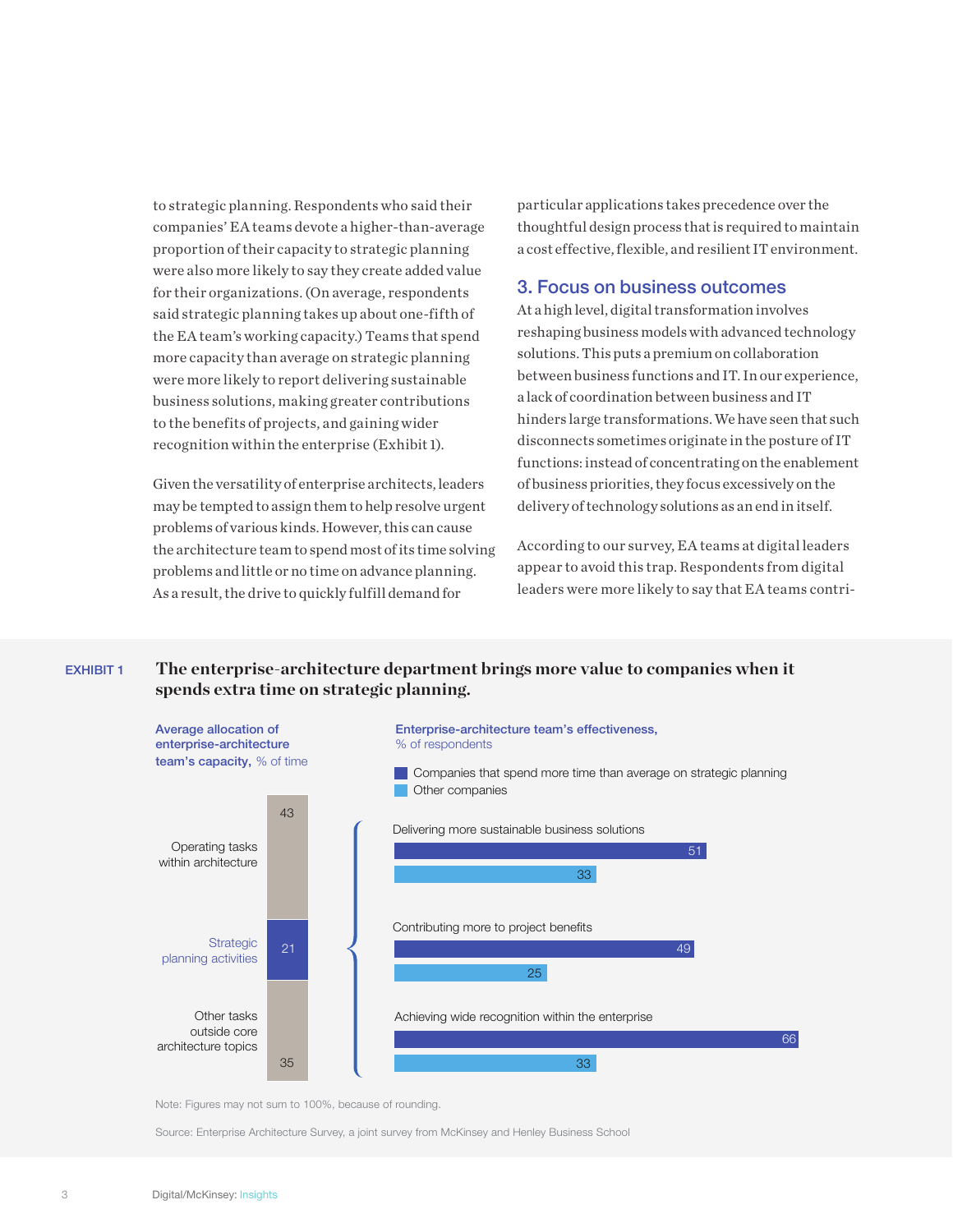to strategic planning. Respondents who said their companies' EA teams devote a higher-than-average proportion of their capacity to strategic planning were also more likely to say they create added value for their organizations. (On average, respondents said strategic planning takes up about one-fifth of the EA team's working capacity.) Teams that spend more capacity than average on strategic planning were more likely to report delivering sustainable business solutions, making greater contributions to the benefits of projects, and gaining wider recognition within the enterprise (Exhibit 1).

Given the versatility of enterprise architects, leaders may be tempted to assign them to help resolve urgent problems of various kinds. However, this can cause the architecture team to spend most of its time solving problems and little or no time on advance planning. As a result, the drive to quickly fulfill demand for

particular applications takes precedence over the thoughtful design process that is required to maintain a cost effective, flexible, and resilient IT environment.

#### 3. Focus on business outcomes

At a high level, digital transformation involves reshaping business models with advanced technology solutions. This puts a premium on collaboration between business functions and IT. In our experience, a lack of coordination between business and IT hinders large transformations. We have seen that such disconnects sometimes originate in the posture of IT functions: instead of concentrating on the enablement of business priorities, they focus excessively on the delivery of technology solutions as an end in itself.

According to our survey, EA teams at digital leaders appear to avoid this trap. Respondents from digital leaders were more likely to say that EA teams contri-

#### EXHIBIT 1 **The enterprise-architecture department brings more value to companies when it spends extra time on strategic planning.**



Note: Figures may not sum to 100%, because of rounding.

Source: Enterprise Architecture Survey, a joint survey from McKinsey and Henley Business School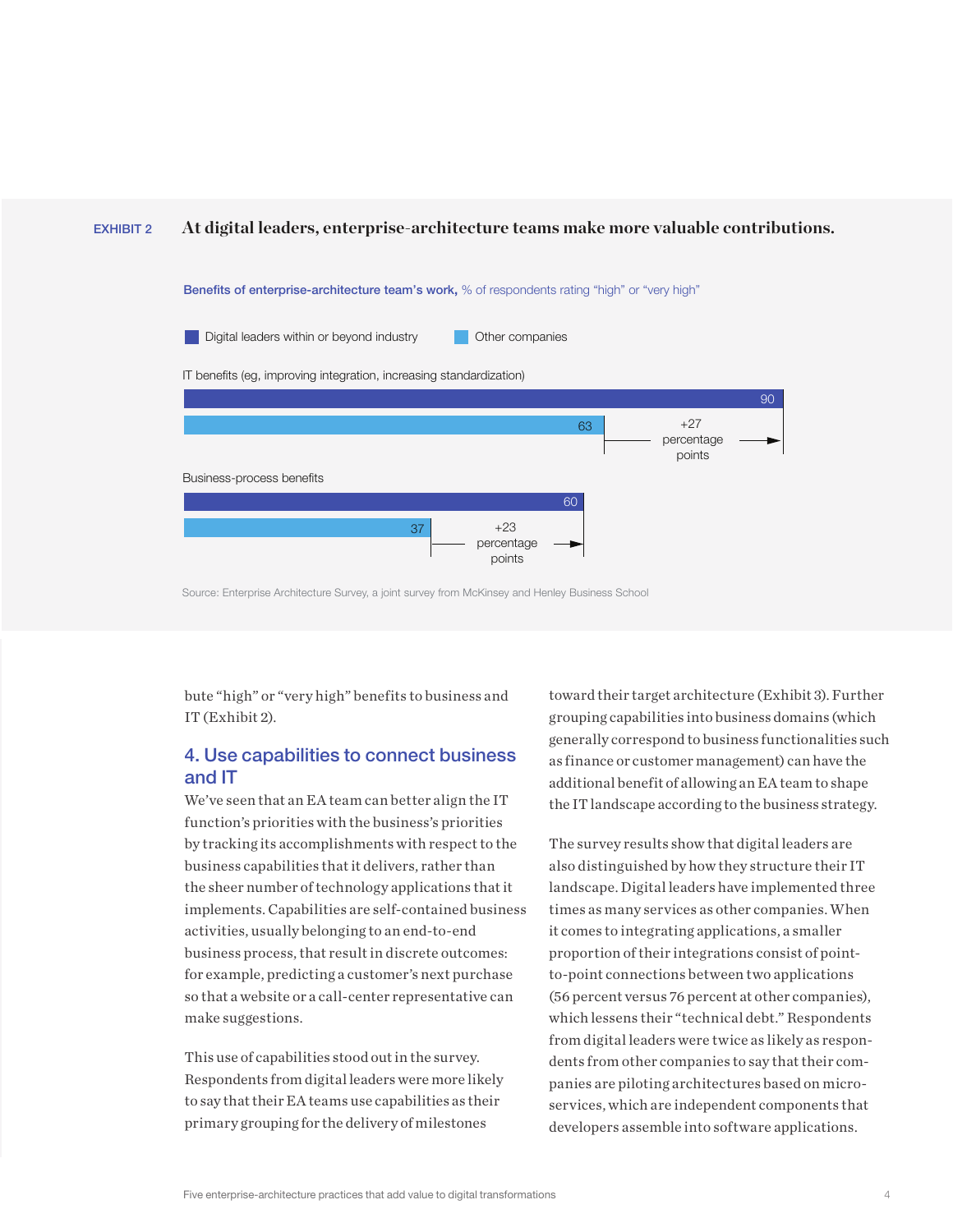#### EXHIBIT 2 **At digital leaders, enterprise-architecture teams make more valuable contributions.**



Source: Enterprise Architecture Survey, a joint survey from McKinsey and Henley Business School

bute "high" or "very high" benefits to business and IT (Exhibit 2).

# 4. Use capabilities to connect business and IT

We've seen that an EA team can better align the IT function's priorities with the business's priorities by tracking its accomplishments with respect to the business capabilities that it delivers, rather than the sheer number of technology applications that it implements. Capabilities are self-contained business activities, usually belonging to an end-to-end business process, that result in discrete outcomes: for example, predicting a customer's next purchase so that a website or a call-center representative can make suggestions.

This use of capabilities stood out in the survey. Respondents from digital leaders were more likely to say that their EA teams use capabilities as their primary grouping for the delivery of milestones

toward their target architecture (Exhibit 3). Further grouping capabilities into business domains (which generally correspond to business functionalities such as finance or customer management) can have the additional benefit of allowing an EA team to shape the IT landscape according to the business strategy.

The survey results show that digital leaders are also distinguished by how they structure their IT landscape. Digital leaders have implemented three times as many services as other companies. When it comes to integrating applications, a smaller proportion of their integrations consist of pointto-point connections between two applications (56 percent versus 76 percent at other companies), which lessens their "technical debt." Respondents from digital leaders were twice as likely as respondents from other companies to say that their companies are piloting architectures based on microservices, which are independent components that developers assemble into software applications.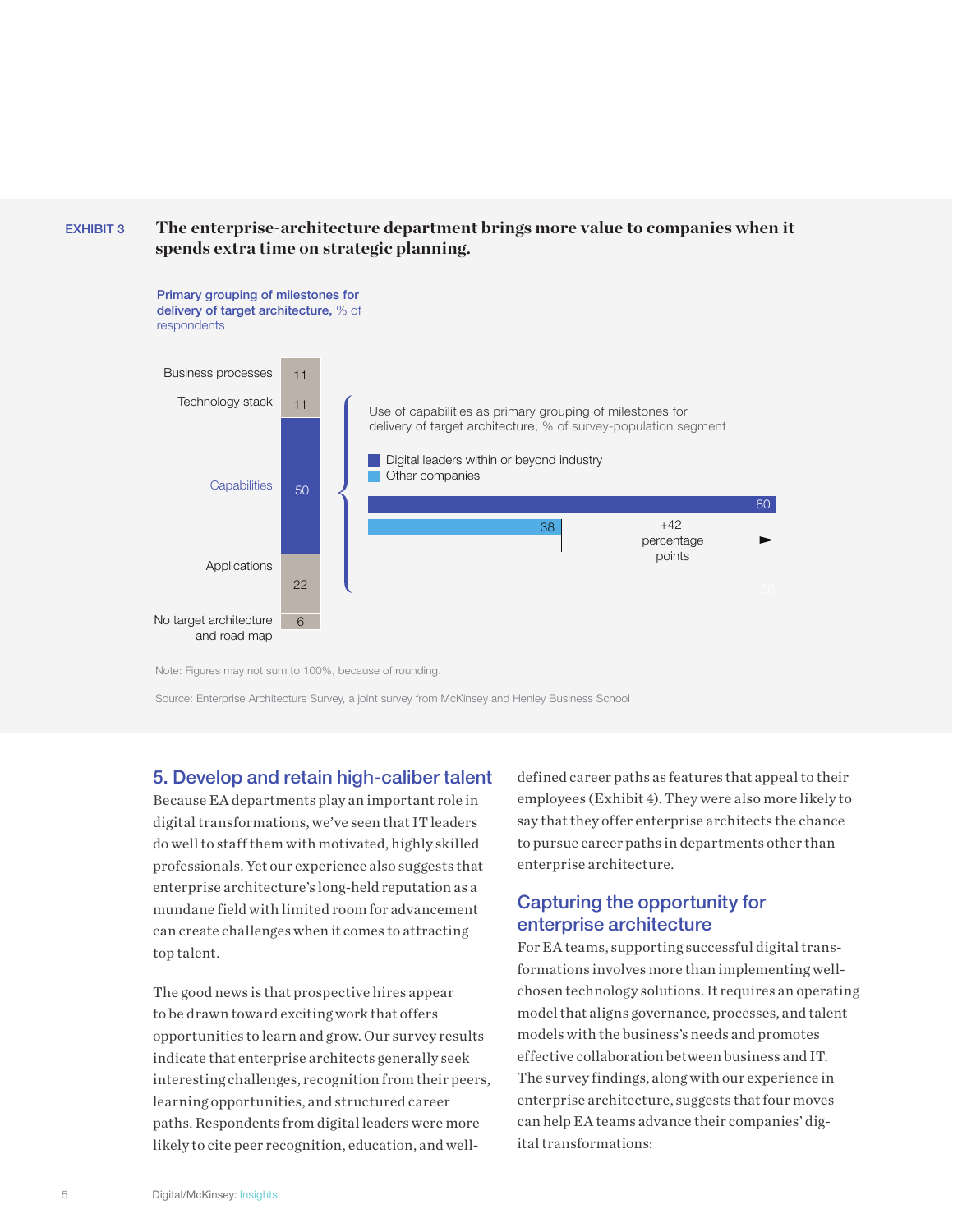## EXHIBIT 3 **The enterprise-architecture department brings more value to companies when it spends extra time on strategic planning.**



Note: Figures may not sum to 100%, because of rounding.

Source: Enterprise Architecture Survey, a joint survey from McKinsey and Henley Business School

#### 5. Develop and retain high-caliber talent

Because EA departments play an important role in digital transformations, we've seen that IT leaders do well to staff them with motivated, highly skilled professionals. Yet our experience also suggests that enterprise architecture's long-held reputation as a mundane field with limited room for advancement can create challenges when it comes to attracting top talent.

The good news is that prospective hires appear to be drawn toward exciting work that offers opportunities to learn and grow. Our survey results indicate that enterprise architects generally seek interesting challenges, recognition from their peers, learning opportunities, and structured career paths. Respondents from digital leaders were more likely to cite peer recognition, education, and welldefined career paths as features that appeal to their employees (Exhibit 4). They were also more likely to say that they offer enterprise architects the chance to pursue career paths in departments other than enterprise architecture.

# Capturing the opportunity for enterprise architecture

For EA teams, supporting successful digital transformations involves more than implementing wellchosen technology solutions. It requires an operating model that aligns governance, processes, and talent models with the business's needs and promotes effective collaboration between business and IT. The survey findings, along with our experience in enterprise architecture, suggests that four moves can help EA teams advance their companies' digital transformations: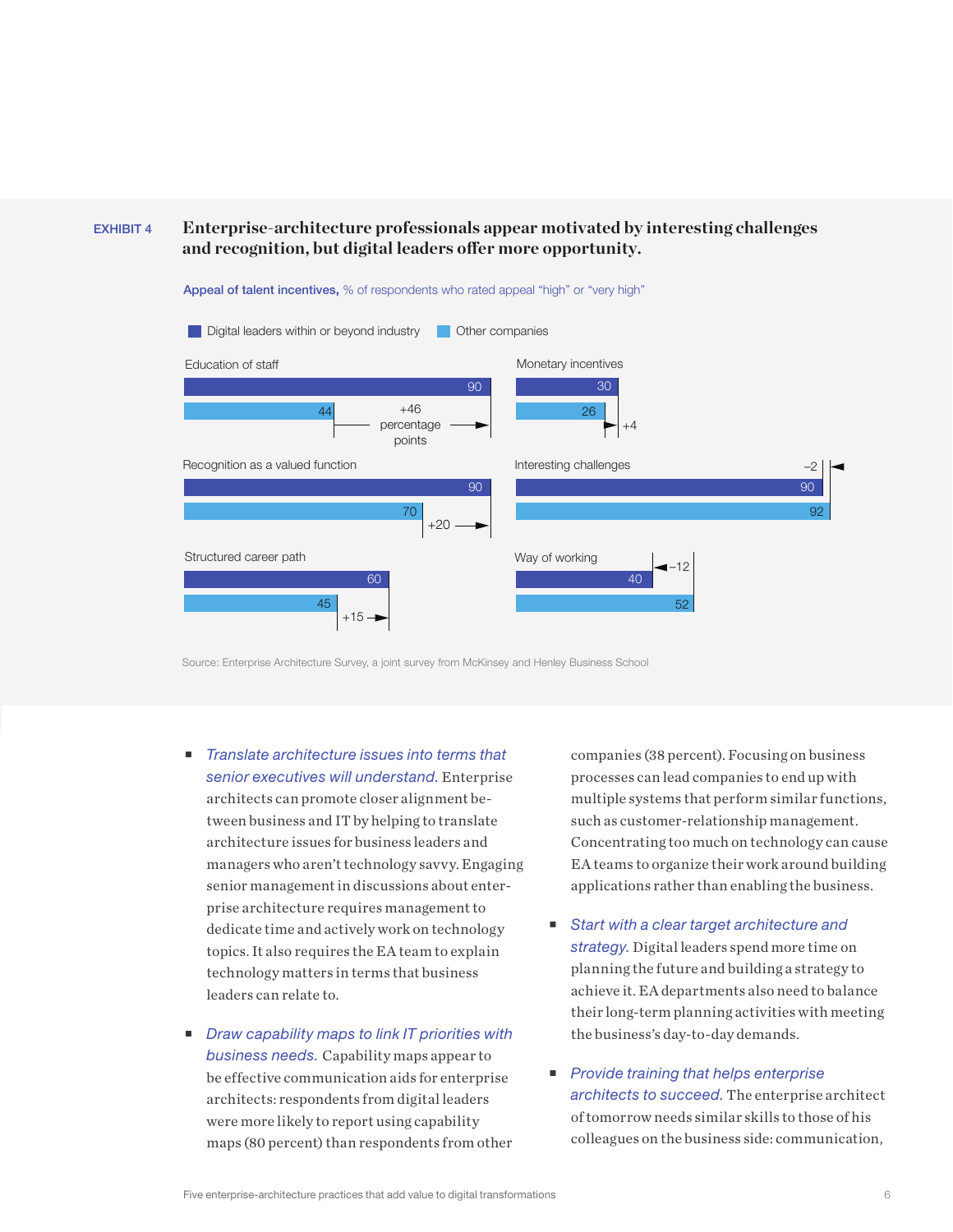### EXHIBIT 4 **Enterprise-architecture professionals appear motivated by interesting challenges**  and recognition, but digital leaders offer more opportunity.



Source: Enterprise Architecture Survey, a joint survey from McKinsey and Henley Business School

- *Translate architecture issues into terms that senior executives will understand.* Enterprise architects can promote closer alignment between business and IT by helping to translate architecture issues for business leaders and managers who aren't technology savvy. Engaging senior management in discussions about enterprise architecture requires management to dedicate time and actively work on technology topics. It also requires the EA team to explain technology matters in terms that business leaders can relate to.
- *Draw capability maps to link IT priorities with business needs.* Capability maps appear to be effective communication aids for enterprise architects: respondents from digital leaders were more likely to report using capability maps (80 percent) than respondents from other

companies (38 percent). Focusing on business processes can lead companies to end up with multiple systems that perform similar functions, such as customer-relationship management. Concentrating too much on technology can cause EA teams to organize their work around building applications rather than enabling the business.

- *Start with a clear target architecture and strategy.* Digital leaders spend more time on planning the future and building a strategy to achieve it. EA departments also need to balance their long-term planning activities with meeting the business's day-to-day demands.
- *Provide training that helps enterprise architects to succeed.* The enterprise architect of tomorrow needs similar skills to those of his colleagues on the business side: communication,